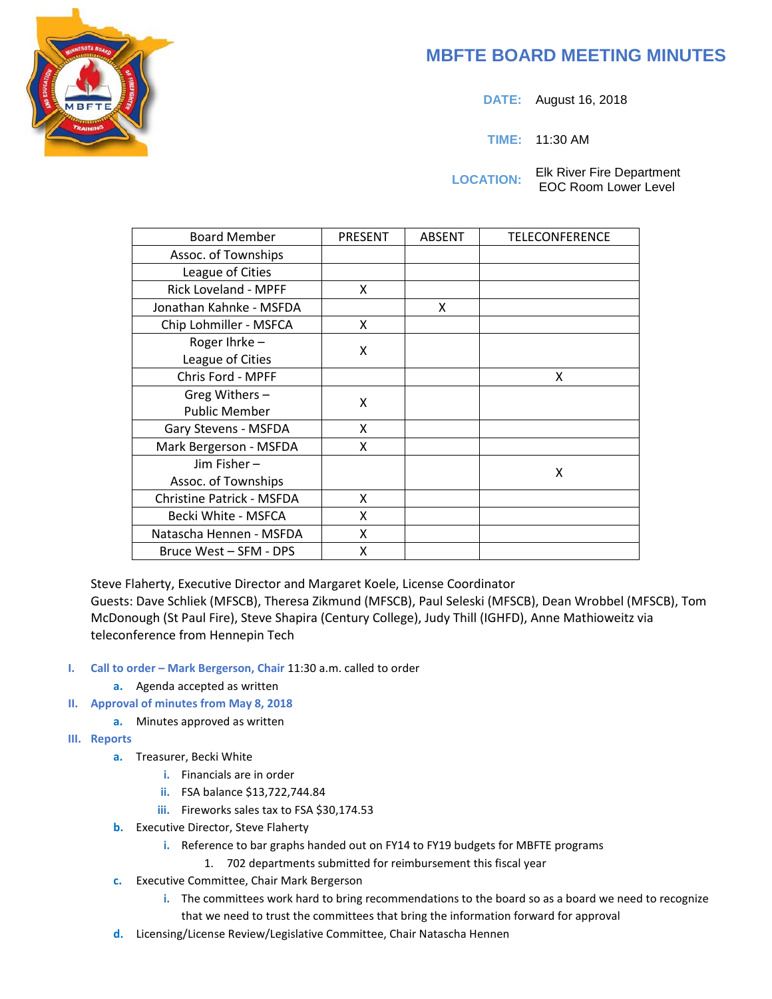# **MBFTE BOARD MEETING MINUTES**

**DATE:** August 16, 2018

**TIME:** 11:30 AM

**LOCATION:** Elk River Fire Department EOC Room Lower Level

| <b>Board Member</b>              | <b>PRESENT</b> | <b>ABSENT</b> | <b>TELECONFERENCE</b> |
|----------------------------------|----------------|---------------|-----------------------|
| Assoc. of Townships              |                |               |                       |
| League of Cities                 |                |               |                       |
| <b>Rick Loveland - MPFF</b>      | X              |               |                       |
| Jonathan Kahnke - MSFDA          |                | X             |                       |
| Chip Lohmiller - MSFCA           | X              |               |                       |
| Roger Ihrke-                     | X              |               |                       |
| League of Cities                 |                |               |                       |
| Chris Ford - MPFF                |                |               | x                     |
| Greg Withers -                   | x              |               |                       |
| <b>Public Member</b>             |                |               |                       |
| Gary Stevens - MSFDA             | X              |               |                       |
| Mark Bergerson - MSFDA           | X              |               |                       |
| Jim Fisher-                      |                |               | x                     |
| Assoc. of Townships              |                |               |                       |
| <b>Christine Patrick - MSFDA</b> | X              |               |                       |
| Becki White - MSFCA              | X              |               |                       |
| Natascha Hennen - MSFDA          | X              |               |                       |
| Bruce West – SFM - DPS           | x              |               |                       |

Steve Flaherty, Executive Director and Margaret Koele, License Coordinator

Guests: Dave Schliek (MFSCB), Theresa Zikmund (MFSCB), Paul Seleski (MFSCB), Dean Wrobbel (MFSCB), Tom McDonough (St Paul Fire), Steve Shapira (Century College), Judy Thill (IGHFD), Anne Mathioweitz via teleconference from Hennepin Tech

### **I. Call to order – Mark Bergerson, Chair** 11:30 a.m. called to order

- **a.** Agenda accepted as written
- **II. Approval of minutes from May 8, 2018** 
	- **a.** Minutes approved as written
- **III. Reports**
	- **a.** Treasurer, Becki White
		- **i.** Financials are in order
		- **ii.** FSA balance \$13,722,744.84
		- **iii.** Fireworks sales tax to FSA \$30,174.53
	- **b.** Executive Director, Steve Flaherty
		- **i.** Reference to bar graphs handed out on FY14 to FY19 budgets for MBFTE programs
			- 1. 702 departments submitted for reimbursement this fiscal year
	- **c.** Executive Committee, Chair Mark Bergerson
		- **i.** The committees work hard to bring recommendations to the board so as a board we need to recognize that we need to trust the committees that bring the information forward for approval
	- **d.** Licensing/License Review/Legislative Committee, Chair Natascha Hennen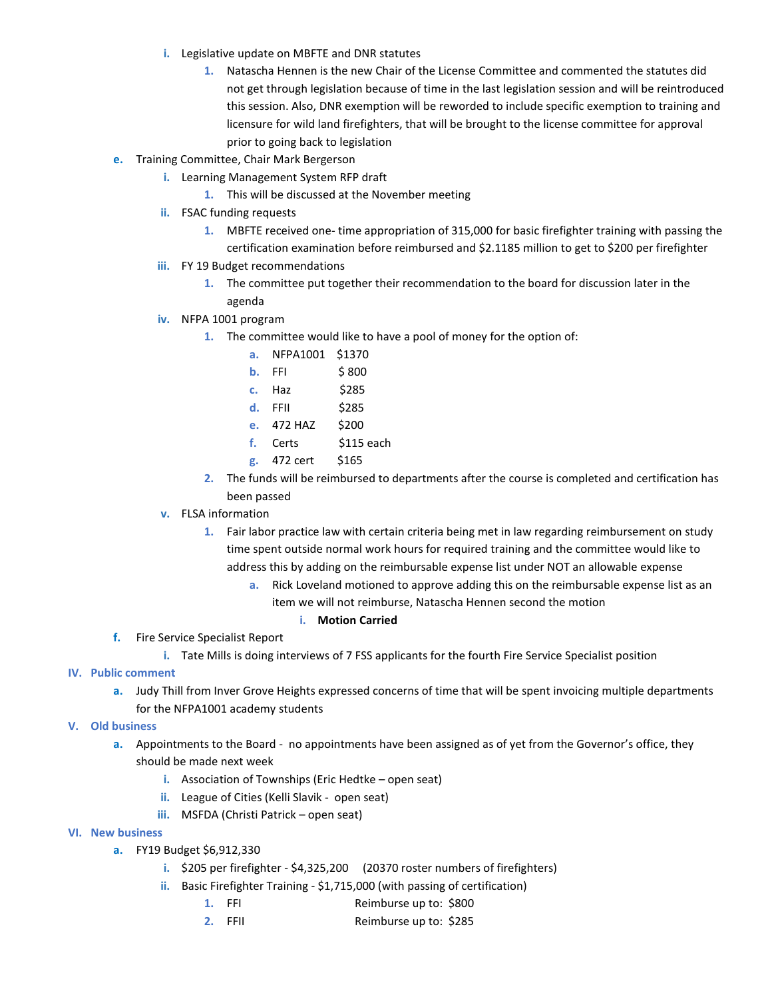- **i.** Legislative update on MBFTE and DNR statutes
	- **1.** Natascha Hennen is the new Chair of the License Committee and commented the statutes did not get through legislation because of time in the last legislation session and will be reintroduced this session. Also, DNR exemption will be reworded to include specific exemption to training and licensure for wild land firefighters, that will be brought to the license committee for approval prior to going back to legislation
- **e.** Training Committee, Chair Mark Bergerson
	- **i.** Learning Management System RFP draft
		- **1.** This will be discussed at the November meeting
	- **ii.** FSAC funding requests
		- **1.** MBFTE received one- time appropriation of 315,000 for basic firefighter training with passing the certification examination before reimbursed and \$2.1185 million to get to \$200 per firefighter
	- **iii.** FY 19 Budget recommendations
		- **1.** The committee put together their recommendation to the board for discussion later in the agenda
	- **iv.** NFPA 1001 program
		- **1.** The committee would like to have a pool of money for the option of:
			- **a.** NFPA1001 \$1370
			- **b.** FFI  $\lessgtr 800$
			- **c.** Haz \$285
			- **d.** FFII \$285
			- **e.** 472 HAZ \$200
			- **f.** Certs \$115 each
			- **g.** 472 cert \$165
		- **2.** The funds will be reimbursed to departments after the course is completed and certification has been passed
	- **v.** FLSA information
		- **1.** Fair labor practice law with certain criteria being met in law regarding reimbursement on study time spent outside normal work hours for required training and the committee would like to address this by adding on the reimbursable expense list under NOT an allowable expense
			- **a.** Rick Loveland motioned to approve adding this on the reimbursable expense list as an
				- item we will not reimburse, Natascha Hennen second the motion
					- **i. Motion Carried**
- **f.** Fire Service Specialist Report
	- **i.** Tate Mills is doing interviews of 7 FSS applicants for the fourth Fire Service Specialist position
- **IV. Public comment**
	- **a.** Judy Thill from Inver Grove Heights expressed concerns of time that will be spent invoicing multiple departments for the NFPA1001 academy students
- **V. Old business**
	- **a.** Appointments to the Board no appointments have been assigned as of yet from the Governor's office, they should be made next week
		- **i.** Association of Townships (Eric Hedtke open seat)
		- **ii.** League of Cities (Kelli Slavik open seat)
		- **iii.** MSFDA (Christi Patrick open seat)
- **VI. New business**
	- **a.** FY19 Budget \$6,912,330
		- **i.** \$205 per firefighter \$4,325,200 (20370 roster numbers of firefighters)
		- **ii.** Basic Firefighter Training \$1,715,000 (with passing of certification)
			- **1.** FFI Reimburse up to: \$800
			- **2.** FFII Reimburse up to: \$285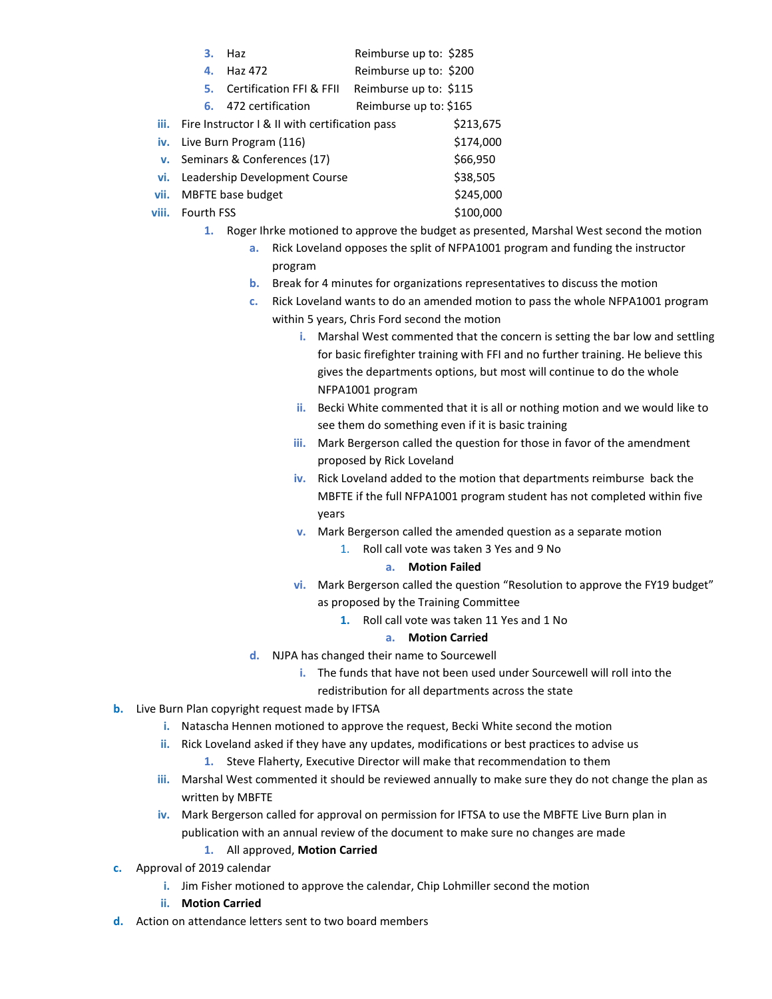|       | 3.                                                         | Haz                                 | Reimburse up to: \$285 |           |
|-------|------------------------------------------------------------|-------------------------------------|------------------------|-----------|
|       | 4.                                                         | Haz 472                             | Reimburse up to: \$200 |           |
|       | 5.                                                         | <b>Certification FFI &amp; FFII</b> | Reimburse up to: \$115 |           |
|       | 6.                                                         | 472 certification                   | Reimburse up to: \$165 |           |
|       | <b>iii.</b> Fire Instructor I & II with certification pass | \$213,675                           |                        |           |
|       | iv. Live Burn Program (116)                                | \$174,000                           |                        |           |
|       | v. Seminars & Conferences (17)                             | \$66,950                            |                        |           |
| vi.   | Leadership Development Course                              | \$38,505                            |                        |           |
| vii.  | MBFTE base budget                                          | \$245,000                           |                        |           |
| viii. | <b>Fourth FSS</b>                                          |                                     |                        | \$100,000 |

- **1.** Roger Ihrke motioned to approve the budget as presented, Marshal West second the motion
	- **a.** Rick Loveland opposes the split of NFPA1001 program and funding the instructor program
	- **b.** Break for 4 minutes for organizations representatives to discuss the motion
	- **c.** Rick Loveland wants to do an amended motion to pass the whole NFPA1001 program within 5 years, Chris Ford second the motion
		- **i.** Marshal West commented that the concern is setting the bar low and settling for basic firefighter training with FFI and no further training. He believe this gives the departments options, but most will continue to do the whole NFPA1001 program
		- **ii.** Becki White commented that it is all or nothing motion and we would like to see them do something even if it is basic training
		- **iii.** Mark Bergerson called the question for those in favor of the amendment proposed by Rick Loveland
		- **iv.** Rick Loveland added to the motion that departments reimburse back the MBFTE if the full NFPA1001 program student has not completed within five years
		- **v.** Mark Bergerson called the amended question as a separate motion
			- 1. Roll call vote was taken 3 Yes and 9 No

### **a. Motion Failed**

- **vi.** Mark Bergerson called the question "Resolution to approve the FY19 budget" as proposed by the Training Committee
	- **1.** Roll call vote was taken 11 Yes and 1 No

## **a. Motion Carried**

- **d.** NJPA has changed their name to Sourcewell
	- **i.** The funds that have not been used under Sourcewell will roll into the redistribution for all departments across the state
- **b.** Live Burn Plan copyright request made by IFTSA
	- **i.** Natascha Hennen motioned to approve the request, Becki White second the motion
	- **ii.** Rick Loveland asked if they have any updates, modifications or best practices to advise us
		- **1.** Steve Flaherty, Executive Director will make that recommendation to them
	- **iii.** Marshal West commented it should be reviewed annually to make sure they do not change the plan as written by MBFTE
	- **iv.** Mark Bergerson called for approval on permission for IFTSA to use the MBFTE Live Burn plan in publication with an annual review of the document to make sure no changes are made
		- **1.** All approved, **Motion Carried**
- **c.** Approval of 2019 calendar
	- **i.** Jim Fisher motioned to approve the calendar, Chip Lohmiller second the motion
	- **ii. Motion Carried**
- **d.** Action on attendance letters sent to two board members